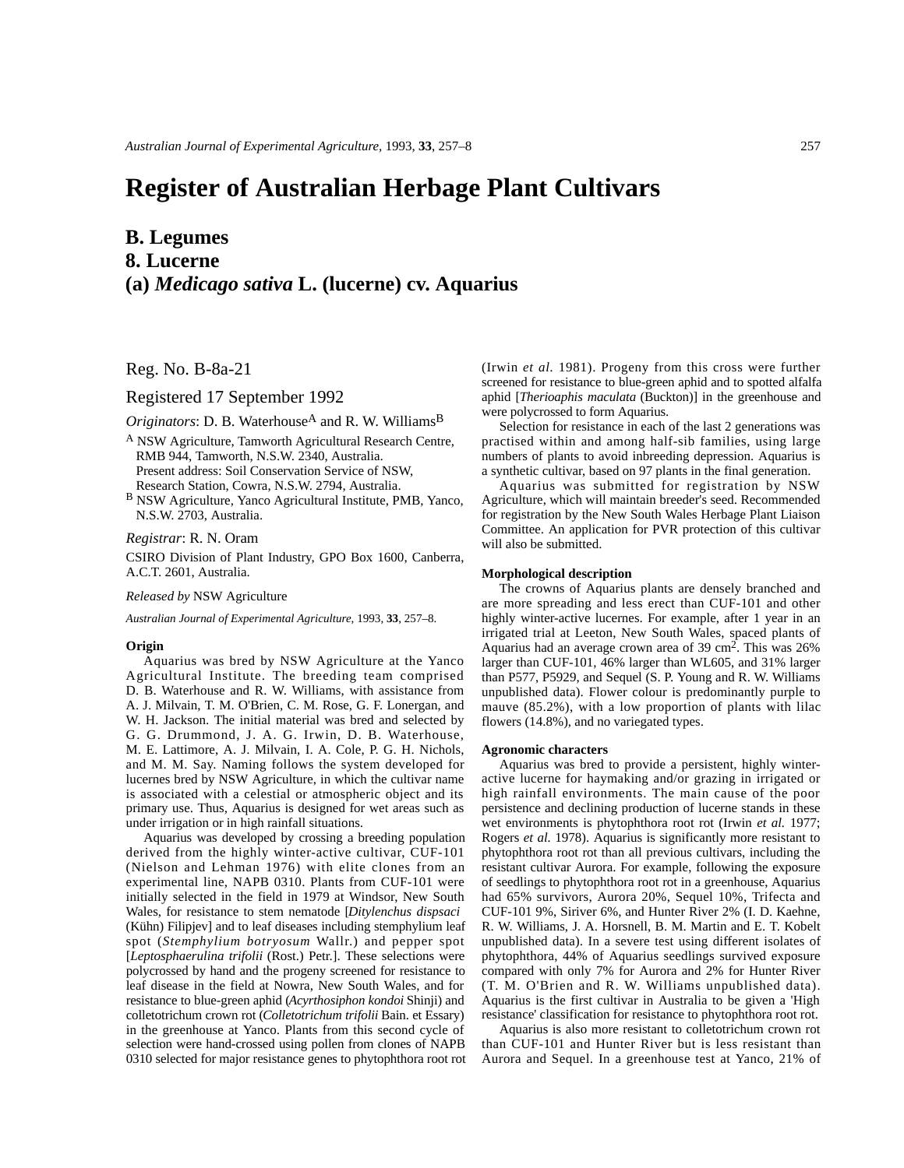# **Register of Australian Herbage Plant Cultivars**

## **B. Legumes**

**8. Lucerne**

## **(a)** *Medicago sativa* **L. (lucerne) cv. Aquarius**

Reg. No. B-8a-21

### Registered 17 September 1992

*Originators*: D. B. Waterhouse<sup>A</sup> and R. W. Williams<sup>B</sup>

- <sup>A</sup> NSW Agriculture, Tamworth Agricultural Research Centre, RMB 944, Tamworth, N.S.W. 2340, Australia. Present address: Soil Conservation Service of NSW, Research Station, Cowra, N.S.W. 2794, Australia.
- <sup>B</sup> NSW Agriculture, Yanco Agricultural Institute, PMB, Yanco, N.S.W. 2703, Australia.

#### *Registrar*: R. N. Oram

CSIRO Division of Plant Industry, GPO Box 1600, Canberra, A.C.T. 2601, Australia.

#### *Released by* NSW Agriculture

*Australian Journal of Experimental Agriculture*, 1993, **33**, 257–8.

#### **Origin**

Aquarius was bred by NSW Agriculture at the Yanco Agricultural Institute. The breeding team comprised D. B. Waterhouse and R. W. Williams, with assistance from A. J. Milvain, T. M. O'Brien, C. M. Rose, G. F. Lonergan, and W. H. Jackson. The initial material was bred and selected by G. G. Drummond, J. A. G. Irwin, D. B. Waterhouse, M. E. Lattimore, A. J. Milvain, I. A. Cole, P. G. H. Nichols, and M. M. Say. Naming follows the system developed for lucernes bred by NSW Agriculture, in which the cultivar name is associated with a celestial or atmospheric object and its primary use. Thus, Aquarius is designed for wet areas such as under irrigation or in high rainfall situations.

Aquarius was developed by crossing a breeding population derived from the highly winter-active cultivar, CUF-101 (Nielson and Lehman 1976) with elite clones from an experimental line, NAPB 0310. Plants from CUF-101 were initially selected in the field in 1979 at Windsor, New South Wales, for resistance to stem nematode [*Ditylenchus dispsaci* (Kühn) Filipjev] and to leaf diseases including stemphylium leaf spot (*Stemphylium botryosum* Wallr.) and pepper spot [*Leptosphaerulina trifolii* (Rost.) Petr.]. These selections were polycrossed by hand and the progeny screened for resistance to leaf disease in the field at Nowra, New South Wales, and for resistance to blue-green aphid (*Acyrthosiphon kondoi* Shinji) and colletotrichum crown rot (*Colletotrichum trifolii* Bain. et Essary) in the greenhouse at Yanco. Plants from this second cycle of selection were hand-crossed using pollen from clones of NAPB 0310 selected for major resistance genes to phytophthora root rot

(Irwin *et al.* 1981). Progeny from this cross were further screened for resistance to blue-green aphid and to spotted alfalfa aphid [*Therioaphis maculata* (Buckton)] in the greenhouse and were polycrossed to form Aquarius.

Selection for resistance in each of the last 2 generations was practised within and among half-sib families, using large numbers of plants to avoid inbreeding depression. Aquarius is a synthetic cultivar, based on 97 plants in the final generation.

Aquarius was submitted for registration by NSW Agriculture, which will maintain breeder's seed. Recommended for registration by the New South Wales Herbage Plant Liaison Committee. An application for PVR protection of this cultivar will also be submitted.

#### **Morphological description**

The crowns of Aquarius plants are densely branched and are more spreading and less erect than CUF-101 and other highly winter-active lucernes. For example, after 1 year in an irrigated trial at Leeton, New South Wales, spaced plants of Aquarius had an average crown area of 39 cm<sup>2</sup>. This was 26% larger than CUF-101, 46% larger than WL605, and 31% larger than P577, P5929, and Sequel (S. P. Young and R. W. Williams unpublished data). Flower colour is predominantly purple to mauve  $(85.2\%)$ , with a low proportion of plants with lilac flowers (14.8%), and no variegated types.

#### **Agronomic characters**

Aquarius was bred to provide a persistent, highly winteractive lucerne for haymaking and/or grazing in irrigated or high rainfall environments. The main cause of the poor persistence and declining production of lucerne stands in these wet environments is phytophthora root rot (Irwin *et al.* 1977; Rogers *et al.* 1978). Aquarius is significantly more resistant to phytophthora root rot than all previous cultivars, including the resistant cultivar Aurora. For example, following the exposure of seedlings to phytophthora root rot in a greenhouse, Aquarius had 65% survivors, Aurora 20%, Sequel 10%, Trifecta and CUF-101 9%, Siriver 6%, and Hunter River 2% (I. D. Kaehne, R. W. Williams, J. A. Horsnell, B. M. Martin and E. T. Kobelt unpublished data). In a severe test using different isolates of phytophthora, 44% of Aquarius seedlings survived exposure compared with only 7% for Aurora and 2% for Hunter River (T. M. O'Brien and R. W. Williams unpublished data). Aquarius is the first cultivar in Australia to be given a 'High resistance' classification for resistance to phytophthora root rot.

Aquarius is also more resistant to colletotrichum crown rot than CUF-101 and Hunter River but is less resistant than Aurora and Sequel. In a greenhouse test at Yanco, 21% of